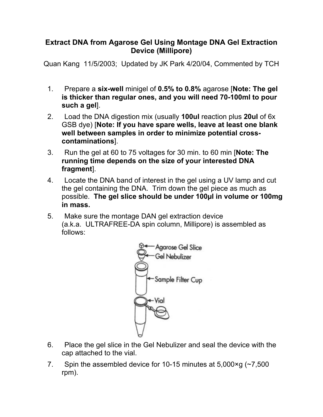## **Extract DNA from Agarose Gel Using Montage DNA Gel Extraction Device (Millipore)**

Quan Kang 11/5/2003; Updated by JK Park 4/20/04, Commented by TCH

- 1. Prepare a **six-well** minigel of **0.5% to 0.8%** agarose [**Note: The gel is thicker than regular ones, and you will need 70-100ml to pour such a gel**].
- 2. Load the DNA digestion mix (usually **100ul** reaction plus **20ul** of 6x GSB dye) [**Note: If you have spare wells, leave at least one blank well between samples in order to minimize potential crosscontaminations**].
- 3. Run the gel at 60 to 75 voltages for 30 min. to 60 min [**Note: The running time depends on the size of your interested DNA fragment**].
- 4. Locate the DNA band of interest in the gel using a UV lamp and cut the gel containing the DNA. Trim down the gel piece as much as possible. **The gel slice should be under 100µl in volume or 100mg in mass.**
- 5. Make sure the montage DAN gel extraction device (a.k.a. ULTRAFREE-DA spin column, Millipore) is assembled as follows:



- 6. Place the gel slice in the Gel Nebulizer and seal the device with the cap attached to the vial.
- 7. Spin the assembled device for 10-15 minutes at 5,000×g (~7,500 rpm).